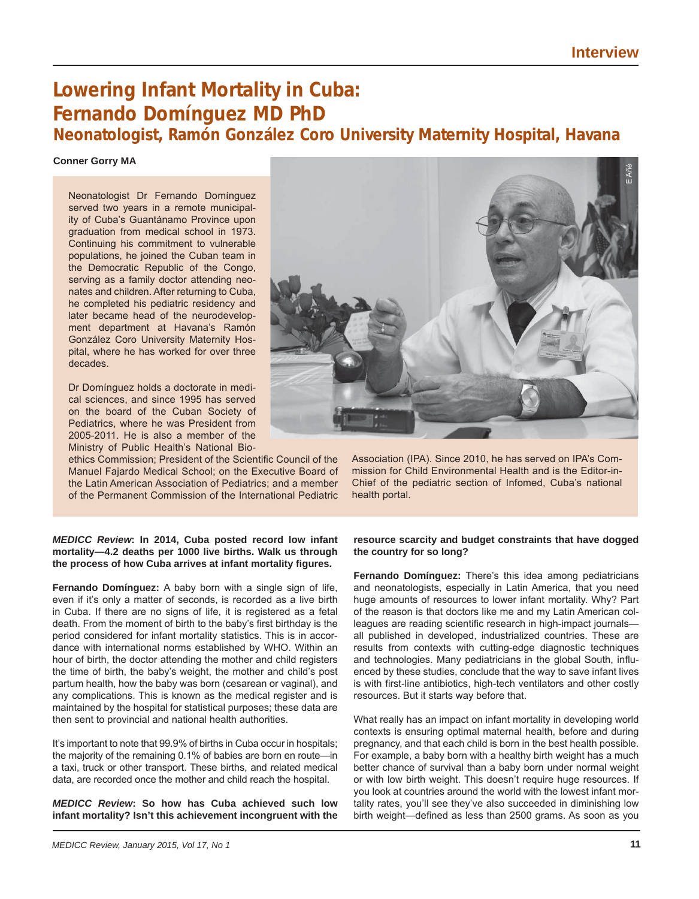# **Lowering Infant Mortality in Cuba: Fernando Domínguez MD PhD Neonatologist, Ramón González Coro University Maternity Hospital, Havana**

#### **Conner Gorry MA**

Neonatologist Dr Fernando Domínguez served two years in a remote municipality of Cuba's Guantánamo Province upon graduation from medical school in 1973. Continuing his commitment to vulnerable populations, he joined the Cuban team in the Democratic Republic of the Congo, serving as a family doctor attending neonates and children. After returning to Cuba, he completed his pediatric residency and later became head of the neurodevelopment department at Havana's Ramón González Coro University Maternity Hospital, where he has worked for over three decades.

Dr Domínguez holds a doctorate in medical sciences, and since 1995 has served on the board of the Cuban Society of Pediatrics, where he was President from 2005-2011. He is also a member of the Ministry of Public Health's National Bio-

ethics Commission; President of the Scientific Council of the Manuel Fajardo Medical School; on the Executive Board of the Latin American Association of Pediatrics; and a member of the Permanent Commission of the International Pediatric



Association (IPA). Since 2010, he has served on IPA's Commission for Child Environmental Health and is the Editor-in-Chief of the pediatric section of Infomed, Cuba's national health portal.

#### *MEDICC Review***: In 2014, Cuba posted record low infant mortality—4.2 deaths per 1000 live births. Walk us through the process of how Cuba arrives at infant mortality fi gures.**

**Fernando Domínguez:** A baby born with a single sign of life, even if it's only a matter of seconds, is recorded as a live birth in Cuba. If there are no signs of life, it is registered as a fetal death. From the moment of birth to the baby's first birthday is the period considered for infant mortality statistics. This is in accordance with international norms established by WHO. Within an hour of birth, the doctor attending the mother and child registers the time of birth, the baby's weight, the mother and child's post partum health, how the baby was born (cesarean or vaginal), and any complications. This is known as the medical register and is maintained by the hospital for statistical purposes; these data are then sent to provincial and national health authorities.

It's important to note that 99.9% of births in Cuba occur in hospitals; the majority of the remaining 0.1% of babies are born en route—in a taxi, truck or other transport. These births, and related medical data, are recorded once the mother and child reach the hospital.

*MEDICC Review***: So how has Cuba achieved such low infant mortality? Isn't this achievement incongruent with the** 

## **resource scarcity and budget constraints that have dogged the country for so long?**

**Fernando Domínguez:** There's this idea among pediatricians and neonatologists, especially in Latin America, that you need huge amounts of resources to lower infant mortality. Why? Part of the reason is that doctors like me and my Latin American colleagues are reading scientific research in high-impact journalsall published in developed, industrialized countries. These are results from contexts with cutting-edge diagnostic techniques and technologies. Many pediatricians in the global South, influenced by these studies, conclude that the way to save infant lives is with first-line antibiotics, high-tech ventilators and other costly resources. But it starts way before that.

What really has an impact on infant mortality in developing world contexts is ensuring optimal maternal health, before and during pregnancy, and that each child is born in the best health possible. For example, a baby born with a healthy birth weight has a much better chance of survival than a baby born under normal weight or with low birth weight. This doesn't require huge resources. If you look at countries around the world with the lowest infant mortality rates, you'll see they've also succeeded in diminishing low birth weight—defined as less than 2500 grams. As soon as you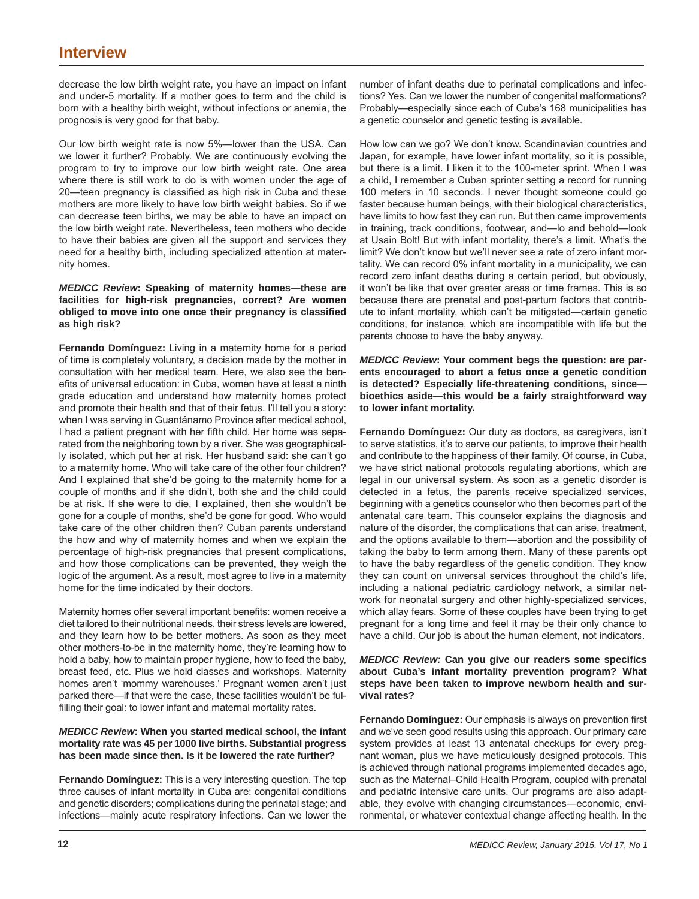decrease the low birth weight rate, you have an impact on infant and under-5 mortality. If a mother goes to term and the child is born with a healthy birth weight, without infections or anemia, the prognosis is very good for that baby.

Our low birth weight rate is now 5%—lower than the USA. Can we lower it further? Probably. We are continuously evolving the program to try to improve our low birth weight rate. One area where there is still work to do is with women under the age of 20—teen pregnancy is classified as high risk in Cuba and these mothers are more likely to have low birth weight babies. So if we can decrease teen births, we may be able to have an impact on the low birth weight rate. Nevertheless, teen mothers who decide to have their babies are given all the support and services they need for a healthy birth, including specialized attention at maternity homes.

## *MEDICC Review***: Speaking of maternity homes**—**these are facilities for high-risk pregnancies, correct? Are women obliged to move into one once their pregnancy is classifi ed as high risk?**

**Fernando Domínguez:** Living in a maternity home for a period of time is completely voluntary, a decision made by the mother in consultation with her medical team. Here, we also see the benefits of universal education: in Cuba, women have at least a ninth grade education and understand how maternity homes protect and promote their health and that of their fetus. I'll tell you a story: when I was serving in Guantánamo Province after medical school, I had a patient pregnant with her fifth child. Her home was separated from the neighboring town by a river. She was geographically isolated, which put her at risk. Her husband said: she can't go to a maternity home. Who will take care of the other four children? And I explained that she'd be going to the maternity home for a couple of months and if she didn't, both she and the child could be at risk. If she were to die, I explained, then she wouldn't be gone for a couple of months, she'd be gone for good. Who would take care of the other children then? Cuban parents understand the how and why of maternity homes and when we explain the percentage of high-risk pregnancies that present complications, and how those complications can be prevented, they weigh the logic of the argument. As a result, most agree to live in a maternity home for the time indicated by their doctors.

Maternity homes offer several important benefits: women receive a diet tailored to their nutritional needs, their stress levels are lowered, and they learn how to be better mothers. As soon as they meet other mothers-to-be in the maternity home, they're learning how to hold a baby, how to maintain proper hygiene, how to feed the baby, breast feed, etc. Plus we hold classes and workshops. Maternity homes aren't 'mommy warehouses.' Pregnant women aren't just parked there—if that were the case, these facilities wouldn't be fulfilling their goal: to lower infant and maternal mortality rates.

## *MEDICC Review***: When you started medical school, the infant mortality rate was 45 per 1000 live births. Substantial progress has been made since then. Is it be lowered the rate further?**

**Fernando Domínguez:** This is a very interesting question. The top three causes of infant mortality in Cuba are: congenital conditions and genetic disorders; complications during the perinatal stage; and infections—mainly acute respiratory infections. Can we lower the number of infant deaths due to perinatal complications and infections? Yes. Can we lower the number of congenital malformations? Probably—especially since each of Cuba's 168 municipalities has a genetic counselor and genetic testing is available.

How low can we go? We don't know. Scandinavian countries and Japan, for example, have lower infant mortality, so it is possible, but there is a limit. I liken it to the 100-meter sprint. When I was a child, I remember a Cuban sprinter setting a record for running 100 meters in 10 seconds. I never thought someone could go faster because human beings, with their biological characteristics, have limits to how fast they can run. But then came improvements in training, track conditions, footwear, and—lo and behold—look at Usain Bolt! But with infant mortality, there's a limit. What's the limit? We don't know but we'll never see a rate of zero infant mortality. We can record 0% infant mortality in a municipality, we can record zero infant deaths during a certain period, but obviously, it won't be like that over greater areas or time frames. This is so because there are prenatal and post-partum factors that contribute to infant mortality, which can't be mitigated—certain genetic conditions, for instance, which are incompatible with life but the parents choose to have the baby anyway.

*MEDICC Review***: Your comment begs the question: are parents encouraged to abort a fetus once a genetic condition is detected? Especially life-threatening conditions, since bioethics aside**—**this would be a fairly straightforward way to lower infant mortality.**

**Fernando Domínguez:** Our duty as doctors, as caregivers, isn't to serve statistics, it's to serve our patients, to improve their health and contribute to the happiness of their family. Of course, in Cuba, we have strict national protocols regulating abortions, which are legal in our universal system. As soon as a genetic disorder is detected in a fetus, the parents receive specialized services, beginning with a genetics counselor who then becomes part of the antenatal care team. This counselor explains the diagnosis and nature of the disorder, the complications that can arise, treatment, and the options available to them—abortion and the possibility of taking the baby to term among them. Many of these parents opt to have the baby regardless of the genetic condition. They know they can count on universal services throughout the child's life, including a national pediatric cardiology network, a similar network for neonatal surgery and other highly-specialized services, which allay fears. Some of these couples have been trying to get pregnant for a long time and feel it may be their only chance to have a child. Our job is about the human element, not indicators.

## *MEDICC Review:* **Can you give our readers some specifi cs about Cuba's infant mortality prevention program? What steps have been taken to improve newborn health and survival rates?**

**Fernando Domínguez:** Our emphasis is always on prevention first and we've seen good results using this approach. Our primary care system provides at least 13 antenatal checkups for every pregnant woman, plus we have meticulously designed protocols. This is achieved through national programs implemented decades ago, such as the Maternal–Child Health Program, coupled with prenatal and pediatric intensive care units. Our programs are also adaptable, they evolve with changing circumstances—economic, environmental, or whatever contextual change affecting health. In the